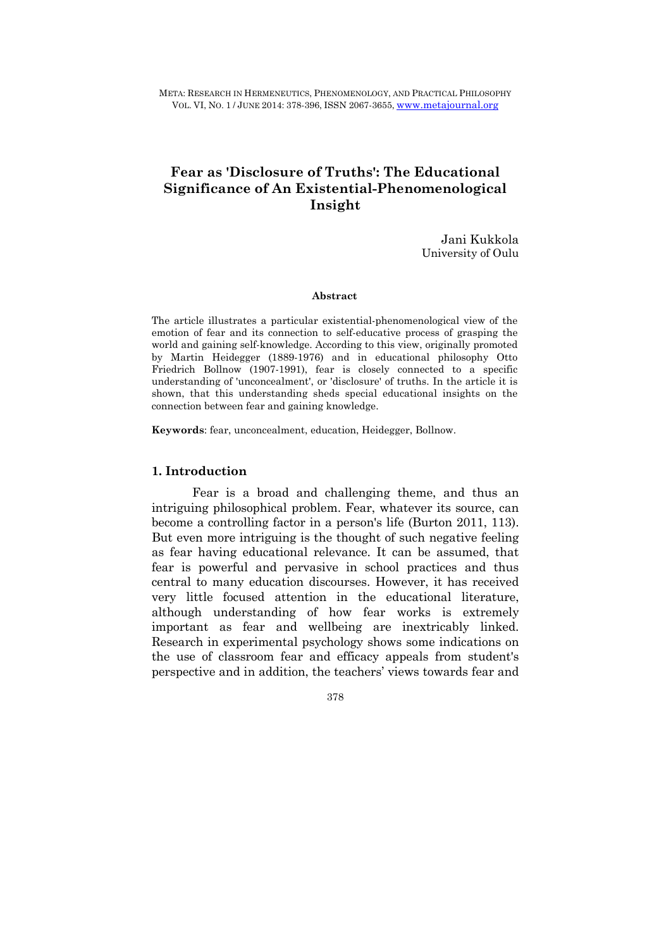META: RESEARCH IN HERMENEUTICS, PHENOMENOLOGY, AND PRACTICAL PHILOSOPHY VOL. VI, NO. 1 / JUNE 2014: 378-396, ISSN 2067-3655, www.metajournal.org

# **Fear as 'Disclosure of Truths': The Educational Significance of An Existential-Phenomenological Insight**

Jani Kukkola University of Oulu

#### **Abstract**

The article illustrates a particular existential-phenomenological view of the emotion of fear and its connection to self-educative process of grasping the world and gaining self-knowledge. According to this view, originally promoted by Martin Heidegger (1889-1976) and in educational philosophy Otto Friedrich Bollnow (1907-1991), fear is closely connected to a specific understanding of 'unconcealment', or 'disclosure' of truths. In the article it is shown, that this understanding sheds special educational insights on the connection between fear and gaining knowledge.

**Keywords**: fear, unconcealment, education, Heidegger, Bollnow.

#### **1. Introduction**

Fear is a broad and challenging theme, and thus an intriguing philosophical problem. Fear, whatever its source, can become a controlling factor in a person's life (Burton 2011, 113). But even more intriguing is the thought of such negative feeling as fear having educational relevance. It can be assumed, that fear is powerful and pervasive in school practices and thus central to many education discourses. However, it has received very little focused attention in the educational literature, although understanding of how fear works is extremely important as fear and wellbeing are inextricably linked. Research in experimental psychology shows some indications on the use of classroom fear and efficacy appeals from student's perspective and in addition, the teachers' views towards fear and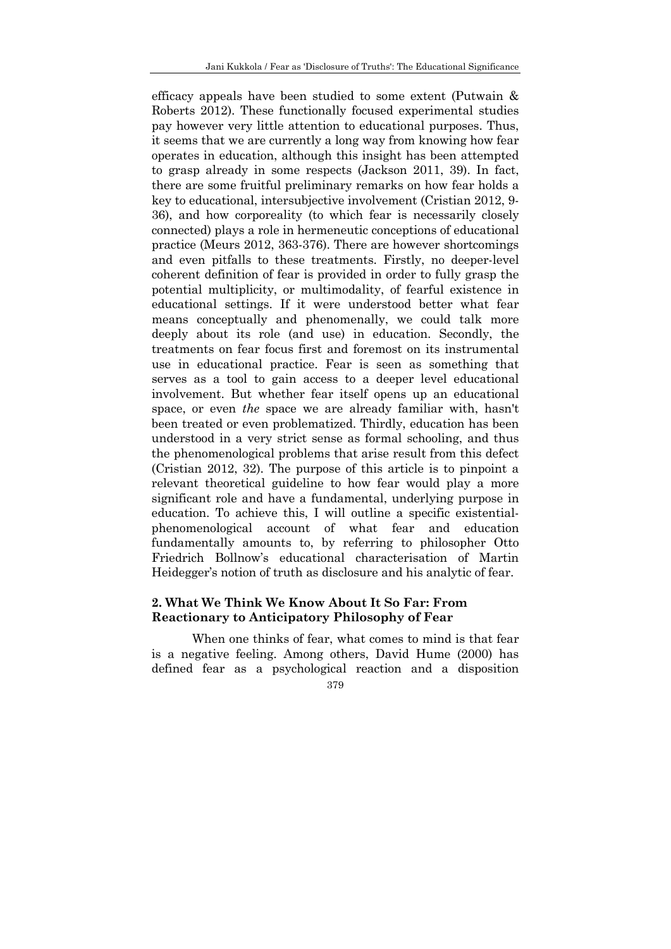efficacy appeals have been studied to some extent (Putwain & Roberts 2012). These functionally focused experimental studies pay however very little attention to educational purposes. Thus, it seems that we are currently a long way from knowing how fear operates in education, although this insight has been attempted to grasp already in some respects (Jackson 2011, 39). In fact, there are some fruitful preliminary remarks on how fear holds a key to educational, intersubjective involvement (Cristian 2012, 9- 36), and how corporeality (to which fear is necessarily closely connected) plays a role in hermeneutic conceptions of educational practice (Meurs 2012, 363-376). There are however shortcomings and even pitfalls to these treatments. Firstly, no deeper-level coherent definition of fear is provided in order to fully grasp the potential multiplicity, or multimodality, of fearful existence in educational settings. If it were understood better what fear means conceptually and phenomenally, we could talk more deeply about its role (and use) in education. Secondly, the treatments on fear focus first and foremost on its instrumental use in educational practice. Fear is seen as something that serves as a tool to gain access to a deeper level educational involvement. But whether fear itself opens up an educational space, or even *the* space we are already familiar with, hasn't been treated or even problematized. Thirdly, education has been understood in a very strict sense as formal schooling, and thus the phenomenological problems that arise result from this defect (Cristian 2012, 32). The purpose of this article is to pinpoint a relevant theoretical guideline to how fear would play a more significant role and have a fundamental, underlying purpose in education. To achieve this, I will outline a specific existentialphenomenological account of what fear and education fundamentally amounts to, by referring to philosopher Otto Friedrich Bollnow's educational characterisation of Martin Heidegger's notion of truth as disclosure and his analytic of fear.

## **2. What We Think We Know About It So Far: From Reactionary to Anticipatory Philosophy of Fear**

When one thinks of fear, what comes to mind is that fear is a negative feeling. Among others, David Hume (2000) has defined fear as a psychological reaction and a disposition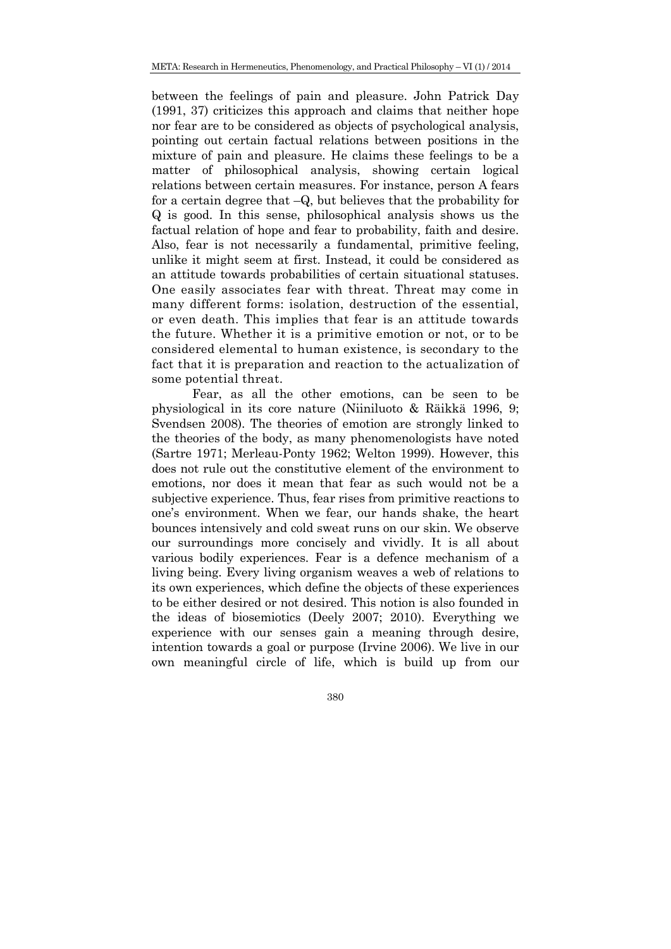between the feelings of pain and pleasure. John Patrick Day (1991, 37) criticizes this approach and claims that neither hope nor fear are to be considered as objects of psychological analysis, pointing out certain factual relations between positions in the mixture of pain and pleasure. He claims these feelings to be a matter of philosophical analysis, showing certain logical relations between certain measures. For instance, person A fears for a certain degree that –Q, but believes that the probability for Q is good. In this sense, philosophical analysis shows us the factual relation of hope and fear to probability, faith and desire. Also, fear is not necessarily a fundamental, primitive feeling, unlike it might seem at first. Instead, it could be considered as an attitude towards probabilities of certain situational statuses. One easily associates fear with threat. Threat may come in many different forms: isolation, destruction of the essential, or even death. This implies that fear is an attitude towards the future. Whether it is a primitive emotion or not, or to be considered elemental to human existence, is secondary to the fact that it is preparation and reaction to the actualization of some potential threat.

 Fear, as all the other emotions, can be seen to be physiological in its core nature (Niiniluoto & Räikkä 1996, 9; Svendsen 2008). The theories of emotion are strongly linked to the theories of the body, as many phenomenologists have noted (Sartre 1971; Merleau-Ponty 1962; Welton 1999). However, this does not rule out the constitutive element of the environment to emotions, nor does it mean that fear as such would not be a subjective experience. Thus, fear rises from primitive reactions to one's environment. When we fear, our hands shake, the heart bounces intensively and cold sweat runs on our skin. We observe our surroundings more concisely and vividly. It is all about various bodily experiences. Fear is a defence mechanism of a living being. Every living organism weaves a web of relations to its own experiences, which define the objects of these experiences to be either desired or not desired. This notion is also founded in the ideas of biosemiotics (Deely 2007; 2010). Everything we experience with our senses gain a meaning through desire, intention towards a goal or purpose (Irvine 2006). We live in our own meaningful circle of life, which is build up from our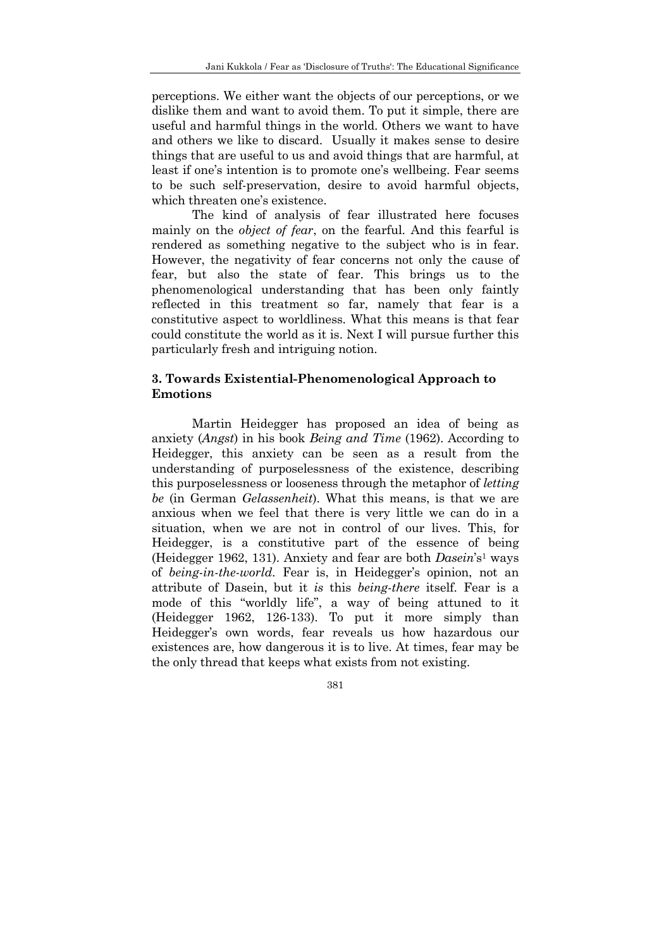perceptions. We either want the objects of our perceptions, or we dislike them and want to avoid them. To put it simple, there are useful and harmful things in the world. Others we want to have and others we like to discard. Usually it makes sense to desire things that are useful to us and avoid things that are harmful, at least if one's intention is to promote one's wellbeing. Fear seems to be such self-preservation, desire to avoid harmful objects, which threaten one's existence.

 The kind of analysis of fear illustrated here focuses mainly on the *object of fear*, on the fearful. And this fearful is rendered as something negative to the subject who is in fear. However, the negativity of fear concerns not only the cause of fear, but also the state of fear. This brings us to the phenomenological understanding that has been only faintly reflected in this treatment so far, namely that fear is a constitutive aspect to worldliness. What this means is that fear could constitute the world as it is. Next I will pursue further this particularly fresh and intriguing notion.

## **3. Towards Existential-Phenomenological Approach to Emotions**

Martin Heidegger has proposed an idea of being as anxiety (*Angst*) in his book *Being and Time* (1962). According to Heidegger, this anxiety can be seen as a result from the understanding of purposelessness of the existence, describing this purposelessness or looseness through the metaphor of *letting be* (in German *Gelassenheit*). What this means, is that we are anxious when we feel that there is very little we can do in a situation, when we are not in control of our lives. This, for Heidegger, is a constitutive part of the essence of being (Heidegger 1962, 131). Anxiety and fear are both *Dasein*'s1 ways of *being-in-the-world*. Fear is, in Heidegger's opinion, not an attribute of Dasein, but it *is* this *being-there* itself. Fear is a mode of this "worldly life", a way of being attuned to it (Heidegger 1962, 126-133). To put it more simply than Heidegger's own words, fear reveals us how hazardous our existences are, how dangerous it is to live. At times, fear may be the only thread that keeps what exists from not existing.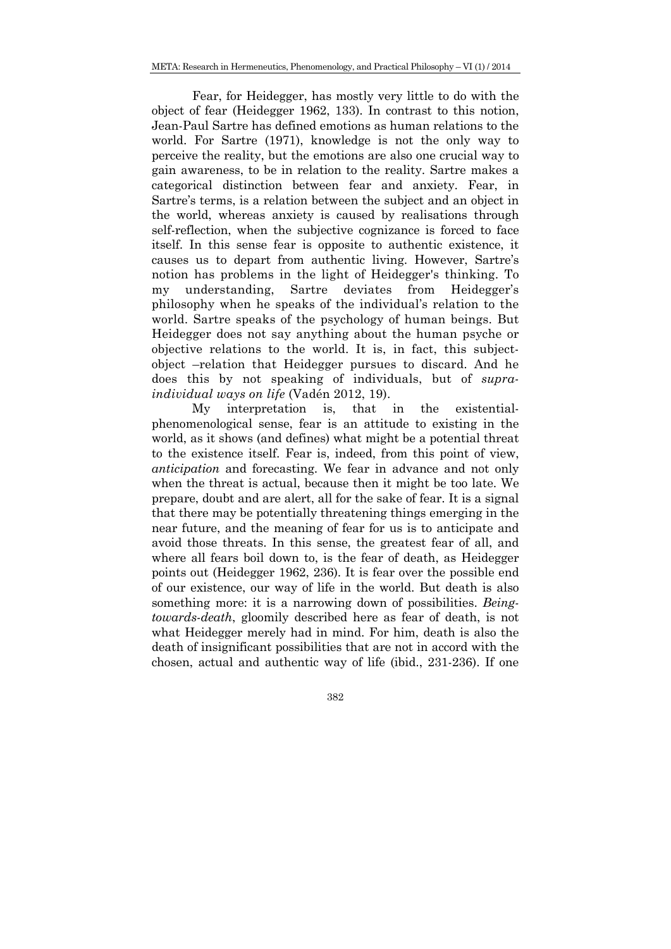META: Research in Hermeneutics, Phenomenology, and Practical Philosophy – VI (1) / 2014

 Fear, for Heidegger, has mostly very little to do with the object of fear (Heidegger 1962, 133). In contrast to this notion, Jean-Paul Sartre has defined emotions as human relations to the world. For Sartre (1971), knowledge is not the only way to perceive the reality, but the emotions are also one crucial way to gain awareness, to be in relation to the reality. Sartre makes a categorical distinction between fear and anxiety. Fear, in Sartre's terms, is a relation between the subject and an object in the world, whereas anxiety is caused by realisations through self-reflection, when the subjective cognizance is forced to face itself. In this sense fear is opposite to authentic existence, it causes us to depart from authentic living. However, Sartre's notion has problems in the light of Heidegger's thinking. To my understanding, Sartre deviates from Heidegger's philosophy when he speaks of the individual's relation to the world. Sartre speaks of the psychology of human beings. But Heidegger does not say anything about the human psyche or objective relations to the world. It is, in fact, this subjectobject –relation that Heidegger pursues to discard. And he does this by not speaking of individuals, but of *supraindividual ways on life* (Vadén 2012, 19).

 My interpretation is, that in the existentialphenomenological sense, fear is an attitude to existing in the world, as it shows (and defines) what might be a potential threat to the existence itself. Fear is, indeed, from this point of view, *anticipation* and forecasting. We fear in advance and not only when the threat is actual, because then it might be too late. We prepare, doubt and are alert, all for the sake of fear. It is a signal that there may be potentially threatening things emerging in the near future, and the meaning of fear for us is to anticipate and avoid those threats. In this sense, the greatest fear of all, and where all fears boil down to, is the fear of death, as Heidegger points out (Heidegger 1962, 236). It is fear over the possible end of our existence, our way of life in the world. But death is also something more: it is a narrowing down of possibilities. *Beingtowards-death*, gloomily described here as fear of death, is not what Heidegger merely had in mind. For him, death is also the death of insignificant possibilities that are not in accord with the chosen, actual and authentic way of life (ibid., 231-236). If one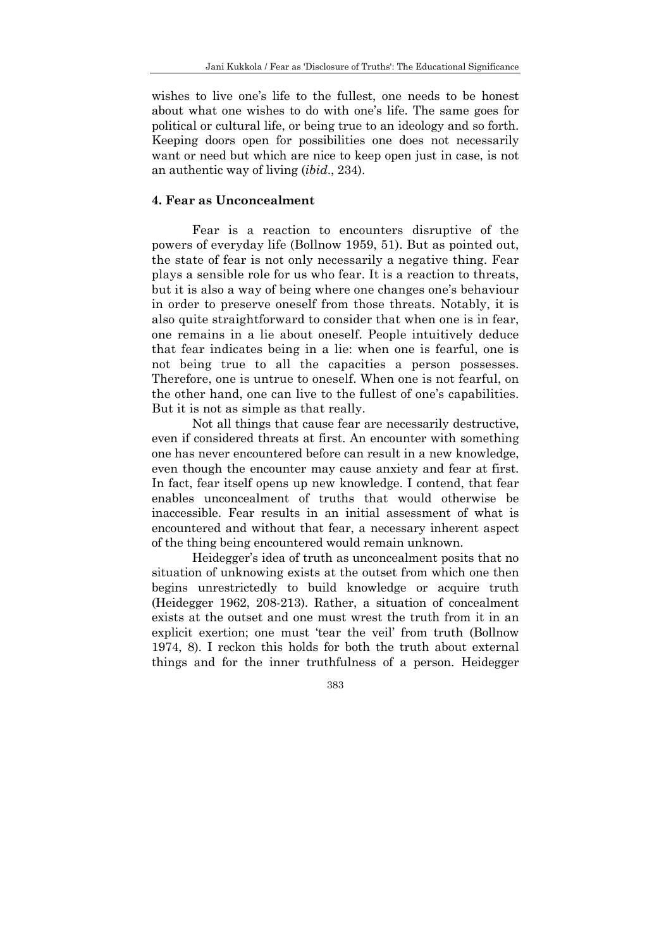wishes to live one's life to the fullest, one needs to be honest about what one wishes to do with one's life. The same goes for political or cultural life, or being true to an ideology and so forth. Keeping doors open for possibilities one does not necessarily want or need but which are nice to keep open just in case, is not an authentic way of living (*ibid*., 234).

## **4. Fear as Unconcealment**

Fear is a reaction to encounters disruptive of the powers of everyday life (Bollnow 1959, 51). But as pointed out, the state of fear is not only necessarily a negative thing. Fear plays a sensible role for us who fear. It is a reaction to threats, but it is also a way of being where one changes one's behaviour in order to preserve oneself from those threats. Notably, it is also quite straightforward to consider that when one is in fear, one remains in a lie about oneself. People intuitively deduce that fear indicates being in a lie: when one is fearful, one is not being true to all the capacities a person possesses. Therefore, one is untrue to oneself. When one is not fearful, on the other hand, one can live to the fullest of one's capabilities. But it is not as simple as that really.

 Not all things that cause fear are necessarily destructive, even if considered threats at first. An encounter with something one has never encountered before can result in a new knowledge, even though the encounter may cause anxiety and fear at first. In fact, fear itself opens up new knowledge. I contend, that fear enables unconcealment of truths that would otherwise be inaccessible. Fear results in an initial assessment of what is encountered and without that fear, a necessary inherent aspect of the thing being encountered would remain unknown.

 Heidegger's idea of truth as unconcealment posits that no situation of unknowing exists at the outset from which one then begins unrestrictedly to build knowledge or acquire truth (Heidegger 1962, 208-213). Rather, a situation of concealment exists at the outset and one must wrest the truth from it in an explicit exertion; one must 'tear the veil' from truth (Bollnow 1974, 8). I reckon this holds for both the truth about external things and for the inner truthfulness of a person. Heidegger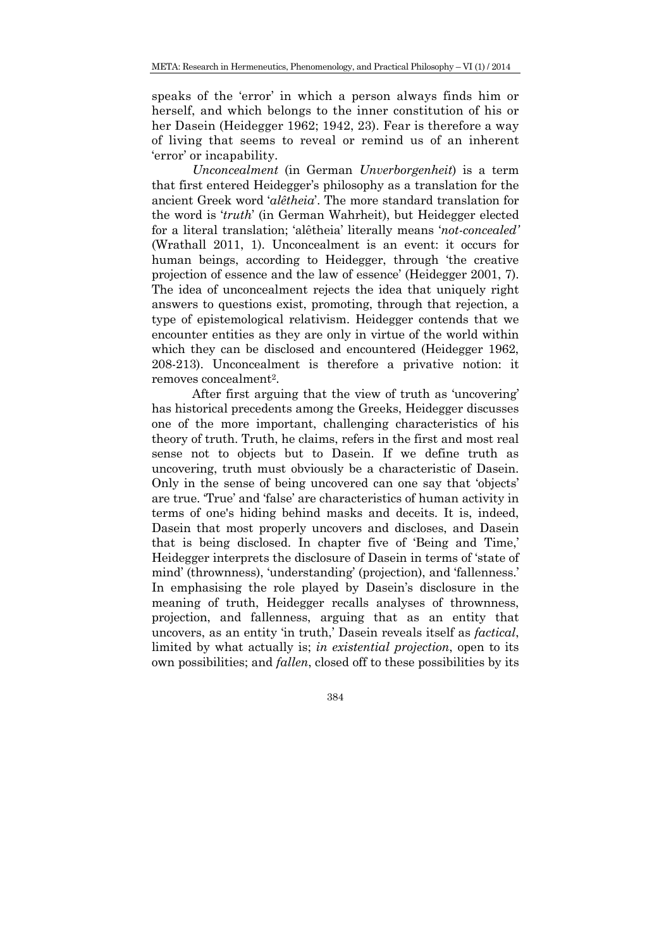speaks of the 'error' in which a person always finds him or herself, and which belongs to the inner constitution of his or her Dasein (Heidegger 1962; 1942, 23). Fear is therefore a way of living that seems to reveal or remind us of an inherent 'error' or incapability.

*Unconcealment* (in German *Unverborgenheit*) is a term that first entered Heidegger's philosophy as a translation for the ancient Greek word '*alêtheia*'. The more standard translation for the word is '*truth*' (in German Wahrheit), but Heidegger elected for a literal translation; 'alêtheia' literally means '*not-concealed'*  (Wrathall 2011, 1). Unconcealment is an event: it occurs for human beings, according to Heidegger, through 'the creative projection of essence and the law of essence' (Heidegger 2001, 7). The idea of unconcealment rejects the idea that uniquely right answers to questions exist, promoting, through that rejection, a type of epistemological relativism. Heidegger contends that we encounter entities as they are only in virtue of the world within which they can be disclosed and encountered (Heidegger 1962, 208-213). Unconcealment is therefore a privative notion: it removes concealment2.

 After first arguing that the view of truth as 'uncovering' has historical precedents among the Greeks, Heidegger discusses one of the more important, challenging characteristics of his theory of truth. Truth, he claims, refers in the first and most real sense not to objects but to Dasein. If we define truth as uncovering, truth must obviously be a characteristic of Dasein. Only in the sense of being uncovered can one say that 'objects' are true. 'True' and 'false' are characteristics of human activity in terms of one's hiding behind masks and deceits. It is, indeed, Dasein that most properly uncovers and discloses, and Dasein that is being disclosed. In chapter five of 'Being and Time,' Heidegger interprets the disclosure of Dasein in terms of 'state of mind' (thrownness), 'understanding' (projection), and 'fallenness.' In emphasising the role played by Dasein's disclosure in the meaning of truth, Heidegger recalls analyses of thrownness, projection, and fallenness, arguing that as an entity that uncovers, as an entity 'in truth,' Dasein reveals itself as *factical*, limited by what actually is; *in existential projection*, open to its own possibilities; and *fallen*, closed off to these possibilities by its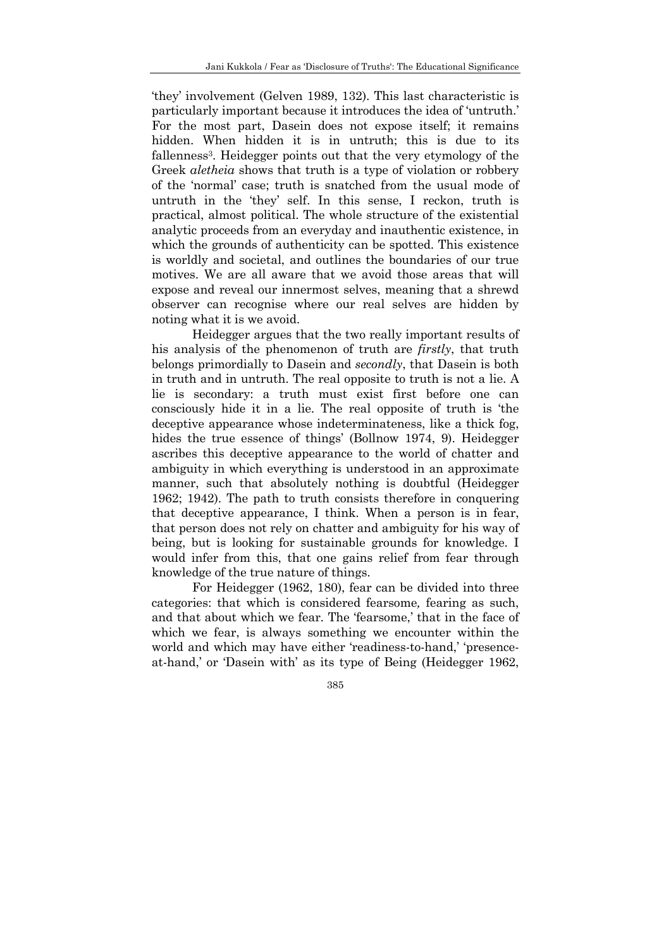'they' involvement (Gelven 1989, 132). This last characteristic is particularly important because it introduces the idea of 'untruth.' For the most part, Dasein does not expose itself; it remains hidden. When hidden it is in untruth; this is due to its fallenness<sup>3</sup>. Heidegger points out that the very etymology of the Greek *aletheia* shows that truth is a type of violation or robbery of the 'normal' case; truth is snatched from the usual mode of untruth in the 'they' self. In this sense, I reckon, truth is practical, almost political. The whole structure of the existential analytic proceeds from an everyday and inauthentic existence, in which the grounds of authenticity can be spotted. This existence is worldly and societal, and outlines the boundaries of our true motives. We are all aware that we avoid those areas that will expose and reveal our innermost selves, meaning that a shrewd observer can recognise where our real selves are hidden by noting what it is we avoid.

 Heidegger argues that the two really important results of his analysis of the phenomenon of truth are *firstly*, that truth belongs primordially to Dasein and *secondly*, that Dasein is both in truth and in untruth. The real opposite to truth is not a lie. A lie is secondary: a truth must exist first before one can consciously hide it in a lie. The real opposite of truth is 'the deceptive appearance whose indeterminateness, like a thick fog, hides the true essence of things' (Bollnow 1974, 9). Heidegger ascribes this deceptive appearance to the world of chatter and ambiguity in which everything is understood in an approximate manner, such that absolutely nothing is doubtful (Heidegger 1962; 1942). The path to truth consists therefore in conquering that deceptive appearance, I think. When a person is in fear, that person does not rely on chatter and ambiguity for his way of being, but is looking for sustainable grounds for knowledge. I would infer from this, that one gains relief from fear through knowledge of the true nature of things.

 For Heidegger (1962, 180), fear can be divided into three categories: that which is considered fearsome*,* fearing as such, and that about which we fear. The 'fearsome,' that in the face of which we fear, is always something we encounter within the world and which may have either 'readiness-to-hand,' 'presenceat-hand,' or 'Dasein with' as its type of Being (Heidegger 1962,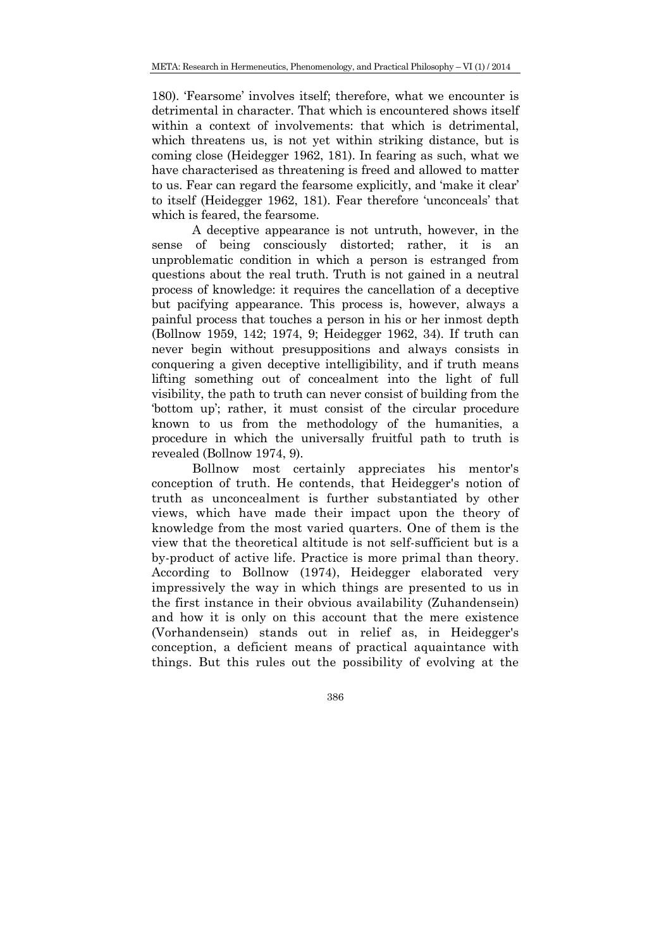180). 'Fearsome' involves itself; therefore, what we encounter is detrimental in character. That which is encountered shows itself within a context of involvements: that which is detrimental, which threatens us, is not yet within striking distance, but is coming close (Heidegger 1962, 181). In fearing as such, what we have characterised as threatening is freed and allowed to matter to us. Fear can regard the fearsome explicitly, and 'make it clear' to itself (Heidegger 1962, 181). Fear therefore 'unconceals' that which is feared, the fearsome.

 A deceptive appearance is not untruth, however, in the sense of being consciously distorted; rather, it is an unproblematic condition in which a person is estranged from questions about the real truth. Truth is not gained in a neutral process of knowledge: it requires the cancellation of a deceptive but pacifying appearance. This process is, however, always a painful process that touches a person in his or her inmost depth (Bollnow 1959, 142; 1974, 9; Heidegger 1962, 34). If truth can never begin without presuppositions and always consists in conquering a given deceptive intelligibility, and if truth means lifting something out of concealment into the light of full visibility, the path to truth can never consist of building from the 'bottom up'; rather, it must consist of the circular procedure known to us from the methodology of the humanities, a procedure in which the universally fruitful path to truth is revealed (Bollnow 1974, 9).

 Bollnow most certainly appreciates his mentor's conception of truth. He contends, that Heidegger's notion of truth as unconcealment is further substantiated by other views, which have made their impact upon the theory of knowledge from the most varied quarters. One of them is the view that the theoretical altitude is not self-sufficient but is a by-product of active life. Practice is more primal than theory. According to Bollnow (1974), Heidegger elaborated very impressively the way in which things are presented to us in the first instance in their obvious availability (Zuhandensein) and how it is only on this account that the mere existence (Vorhandensein) stands out in relief as, in Heidegger's conception, a deficient means of practical aquaintance with things. But this rules out the possibility of evolving at the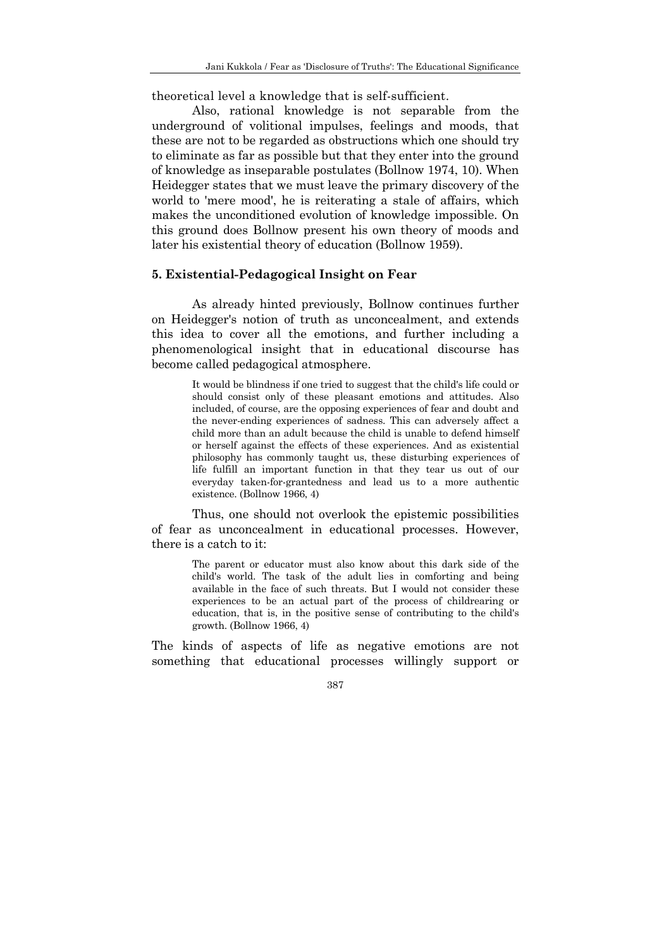theoretical level a knowledge that is self-sufficient.

 Also, rational knowledge is not separable from the underground of volitional impulses, feelings and moods, that these are not to be regarded as obstructions which one should try to eliminate as far as possible but that they enter into the ground of knowledge as inseparable postulates (Bollnow 1974, 10). When Heidegger states that we must leave the primary discovery of the world to 'mere mood', he is reiterating a stale of affairs, which makes the unconditioned evolution of knowledge impossible. On this ground does Bollnow present his own theory of moods and later his existential theory of education (Bollnow 1959).

### **5. Existential-Pedagogical Insight on Fear**

As already hinted previously, Bollnow continues further on Heidegger's notion of truth as unconcealment, and extends this idea to cover all the emotions, and further including a phenomenological insight that in educational discourse has become called pedagogical atmosphere.

> It would be blindness if one tried to suggest that the child's life could or should consist only of these pleasant emotions and attitudes. Also included, of course, are the opposing experiences of fear and doubt and the never-ending experiences of sadness. This can adversely affect a child more than an adult because the child is unable to defend himself or herself against the effects of these experiences. And as existential philosophy has commonly taught us, these disturbing experiences of life fulfill an important function in that they tear us out of our everyday taken-for-grantedness and lead us to a more authentic existence. (Bollnow 1966, 4)

Thus, one should not overlook the epistemic possibilities of fear as unconcealment in educational processes. However, there is a catch to it:

> The parent or educator must also know about this dark side of the child's world. The task of the adult lies in comforting and being available in the face of such threats. But I would not consider these experiences to be an actual part of the process of childrearing or education, that is, in the positive sense of contributing to the child's growth. (Bollnow 1966, 4)

The kinds of aspects of life as negative emotions are not something that educational processes willingly support or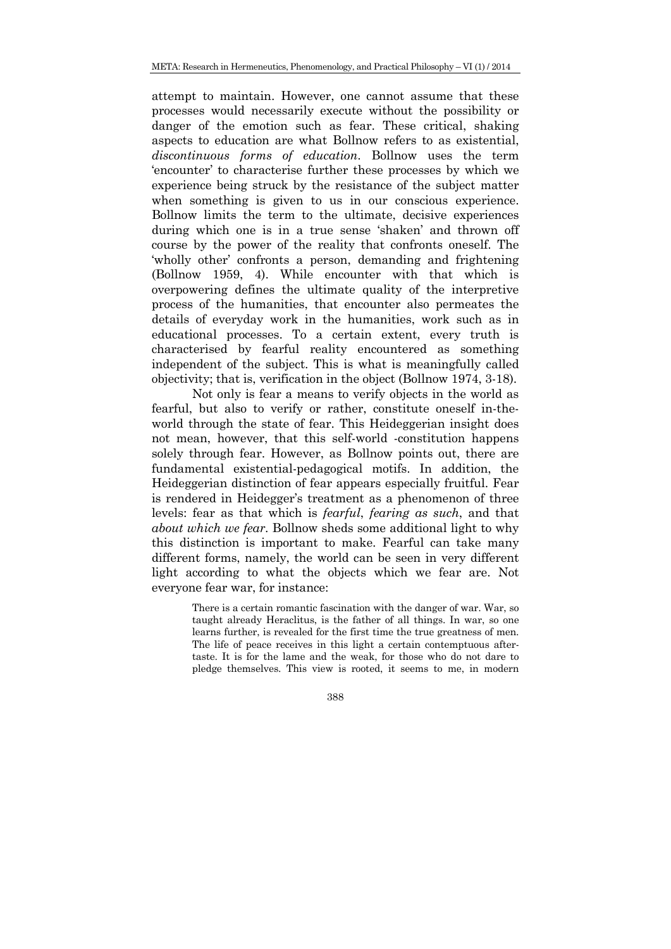attempt to maintain. However, one cannot assume that these processes would necessarily execute without the possibility or danger of the emotion such as fear. These critical, shaking aspects to education are what Bollnow refers to as existential, *discontinuous forms of education*. Bollnow uses the term 'encounter' to characterise further these processes by which we experience being struck by the resistance of the subject matter when something is given to us in our conscious experience. Bollnow limits the term to the ultimate, decisive experiences during which one is in a true sense 'shaken' and thrown off course by the power of the reality that confronts oneself. The 'wholly other' confronts a person, demanding and frightening (Bollnow 1959, 4). While encounter with that which is overpowering defines the ultimate quality of the interpretive process of the humanities, that encounter also permeates the details of everyday work in the humanities, work such as in educational processes. To a certain extent, every truth is characterised by fearful reality encountered as something independent of the subject. This is what is meaningfully called objectivity; that is, verification in the object (Bollnow 1974, 3-18).

 Not only is fear a means to verify objects in the world as fearful, but also to verify or rather, constitute oneself in-theworld through the state of fear. This Heideggerian insight does not mean, however, that this self-world -constitution happens solely through fear. However, as Bollnow points out, there are fundamental existential-pedagogical motifs. In addition, the Heideggerian distinction of fear appears especially fruitful. Fear is rendered in Heidegger's treatment as a phenomenon of three levels: fear as that which is *fearful*, *fearing as such*, and that *about which we fear*. Bollnow sheds some additional light to why this distinction is important to make. Fearful can take many different forms, namely, the world can be seen in very different light according to what the objects which we fear are. Not everyone fear war, for instance:

> There is a certain romantic fascination with the danger of war. War, so taught already Heraclitus, is the father of all things. In war, so one learns further, is revealed for the first time the true greatness of men. The life of peace receives in this light a certain contemptuous aftertaste. It is for the lame and the weak, for those who do not dare to pledge themselves. This view is rooted, it seems to me, in modern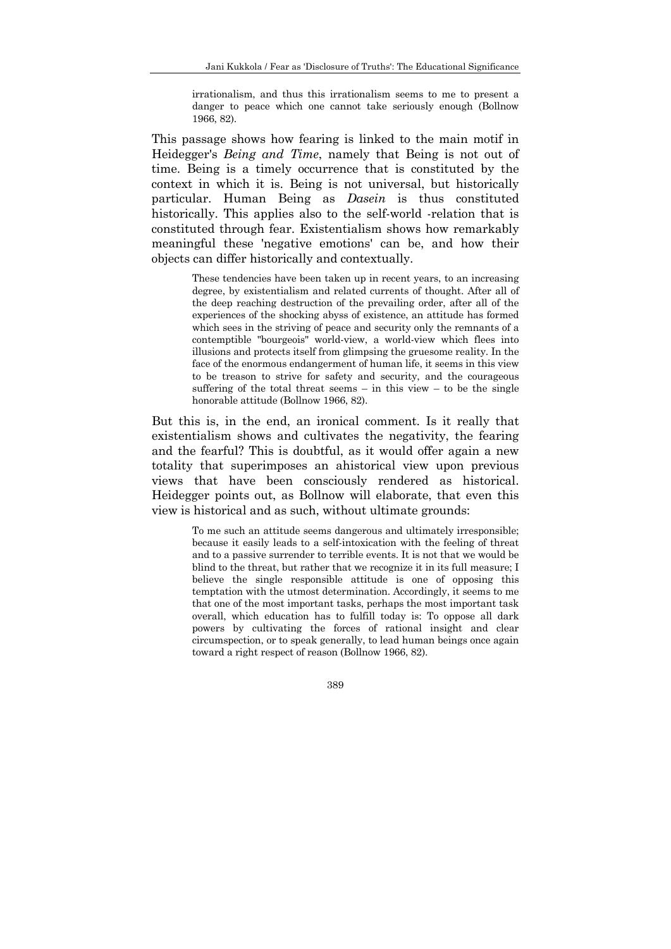irrationalism, and thus this irrationalism seems to me to present a danger to peace which one cannot take seriously enough (Bollnow 1966, 82).

This passage shows how fearing is linked to the main motif in Heidegger's *Being and Time*, namely that Being is not out of time. Being is a timely occurrence that is constituted by the context in which it is. Being is not universal, but historically particular. Human Being as *Dasein* is thus constituted historically. This applies also to the self-world -relation that is constituted through fear. Existentialism shows how remarkably meaningful these 'negative emotions' can be, and how their objects can differ historically and contextually.

> These tendencies have been taken up in recent years, to an increasing degree, by existentialism and related currents of thought. After all of the deep reaching destruction of the prevailing order, after all of the experiences of the shocking abyss of existence, an attitude has formed which sees in the striving of peace and security only the remnants of a contemptible "bourgeois" world-view, a world-view which flees into illusions and protects itself from glimpsing the gruesome reality. In the face of the enormous endangerment of human life, it seems in this view to be treason to strive for safety and security, and the courageous suffering of the total threat seems  $-$  in this view  $-$  to be the single honorable attitude (Bollnow 1966, 82).

But this is, in the end, an ironical comment. Is it really that existentialism shows and cultivates the negativity, the fearing and the fearful? This is doubtful, as it would offer again a new totality that superimposes an ahistorical view upon previous views that have been consciously rendered as historical. Heidegger points out, as Bollnow will elaborate, that even this view is historical and as such, without ultimate grounds:

> To me such an attitude seems dangerous and ultimately irresponsible; because it easily leads to a self-intoxication with the feeling of threat and to a passive surrender to terrible events. It is not that we would be blind to the threat, but rather that we recognize it in its full measure; I believe the single responsible attitude is one of opposing this temptation with the utmost determination. Accordingly, it seems to me that one of the most important tasks, perhaps the most important task overall, which education has to fulfill today is: To oppose all dark powers by cultivating the forces of rational insight and clear circumspection, or to speak generally, to lead human beings once again toward a right respect of reason (Bollnow 1966, 82).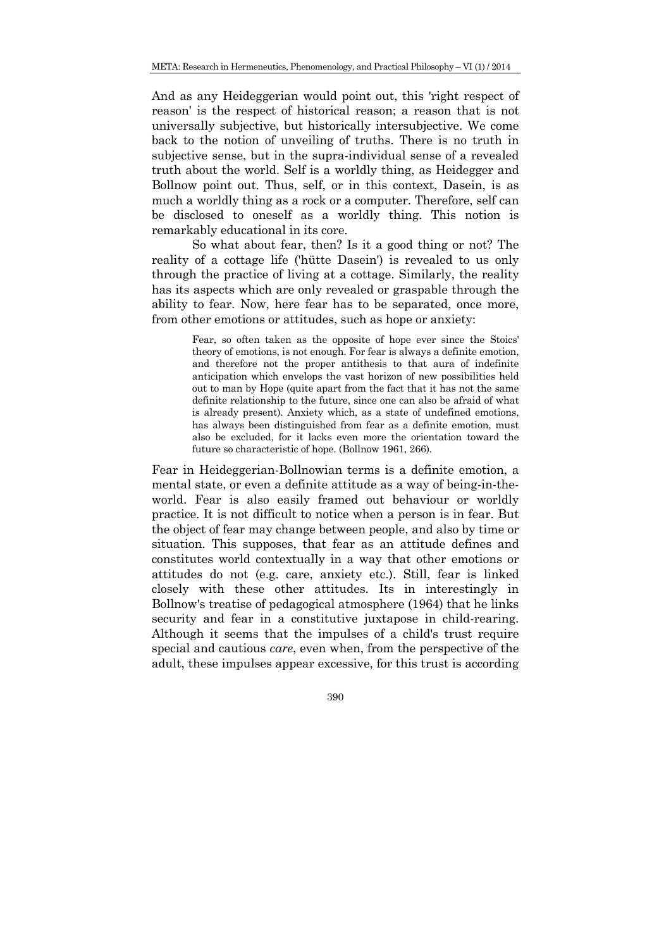And as any Heideggerian would point out, this 'right respect of reason' is the respect of historical reason; a reason that is not universally subjective, but historically intersubjective. We come back to the notion of unveiling of truths. There is no truth in subjective sense, but in the supra-individual sense of a revealed truth about the world. Self is a worldly thing, as Heidegger and Bollnow point out. Thus, self, or in this context, Dasein, is as much a worldly thing as a rock or a computer. Therefore, self can be disclosed to oneself as a worldly thing. This notion is remarkably educational in its core.

 So what about fear, then? Is it a good thing or not? The reality of a cottage life ('hütte Dasein') is revealed to us only through the practice of living at a cottage. Similarly, the reality has its aspects which are only revealed or graspable through the ability to fear. Now, here fear has to be separated, once more, from other emotions or attitudes, such as hope or anxiety:

> Fear, so often taken as the opposite of hope ever since the Stoics' theory of emotions, is not enough. For fear is always a definite emotion, and therefore not the proper antithesis to that aura of indefinite anticipation which envelops the vast horizon of new possibilities held out to man by Hope (quite apart from the fact that it has not the same definite relationship to the future, since one can also be afraid of what is already present). Anxiety which, as a state of undefined emotions, has always been distinguished from fear as a definite emotion, must also be excluded, for it lacks even more the orientation toward the future so characteristic of hope. (Bollnow 1961, 266).

Fear in Heideggerian-Bollnowian terms is a definite emotion, a mental state, or even a definite attitude as a way of being-in-theworld. Fear is also easily framed out behaviour or worldly practice. It is not difficult to notice when a person is in fear. But the object of fear may change between people, and also by time or situation. This supposes, that fear as an attitude defines and constitutes world contextually in a way that other emotions or attitudes do not (e.g. care, anxiety etc.). Still, fear is linked closely with these other attitudes. Its in interestingly in Bollnow's treatise of pedagogical atmosphere (1964) that he links security and fear in a constitutive juxtapose in child-rearing. Although it seems that the impulses of a child's trust require special and cautious *care*, even when, from the perspective of the adult, these impulses appear excessive, for this trust is according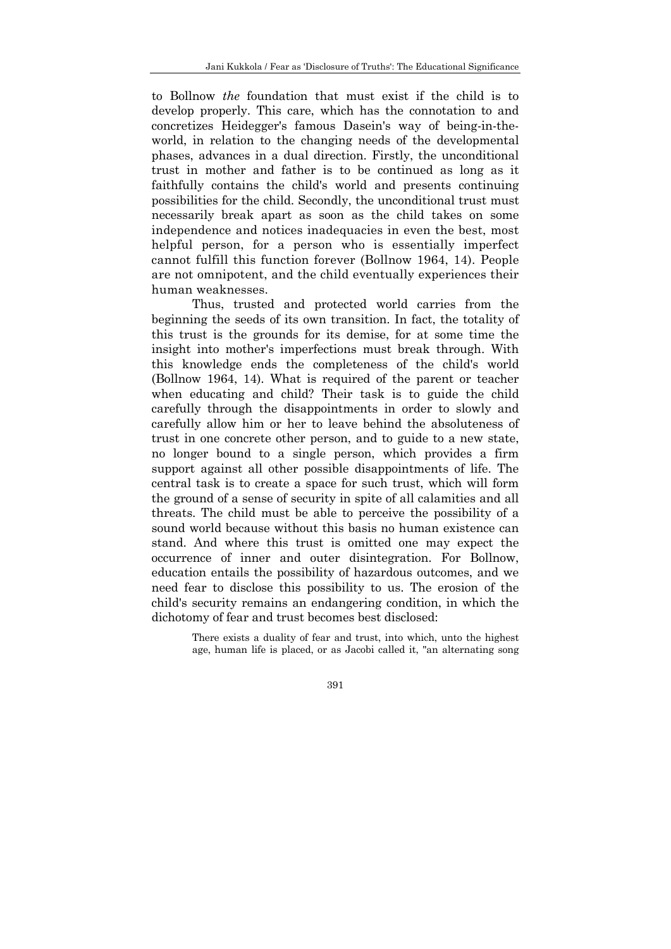to Bollnow *the* foundation that must exist if the child is to develop properly. This care, which has the connotation to and concretizes Heidegger's famous Dasein's way of being-in-theworld, in relation to the changing needs of the developmental phases, advances in a dual direction. Firstly, the unconditional trust in mother and father is to be continued as long as it faithfully contains the child's world and presents continuing possibilities for the child. Secondly, the unconditional trust must necessarily break apart as soon as the child takes on some independence and notices inadequacies in even the best, most helpful person, for a person who is essentially imperfect cannot fulfill this function forever (Bollnow 1964, 14). People are not omnipotent, and the child eventually experiences their human weaknesses.

 Thus, trusted and protected world carries from the beginning the seeds of its own transition. In fact, the totality of this trust is the grounds for its demise, for at some time the insight into mother's imperfections must break through. With this knowledge ends the completeness of the child's world (Bollnow 1964, 14). What is required of the parent or teacher when educating and child? Their task is to guide the child carefully through the disappointments in order to slowly and carefully allow him or her to leave behind the absoluteness of trust in one concrete other person, and to guide to a new state, no longer bound to a single person, which provides a firm support against all other possible disappointments of life. The central task is to create a space for such trust, which will form the ground of a sense of security in spite of all calamities and all threats. The child must be able to perceive the possibility of a sound world because without this basis no human existence can stand. And where this trust is omitted one may expect the occurrence of inner and outer disintegration. For Bollnow, education entails the possibility of hazardous outcomes, and we need fear to disclose this possibility to us. The erosion of the child's security remains an endangering condition, in which the dichotomy of fear and trust becomes best disclosed:

> There exists a duality of fear and trust, into which, unto the highest age, human life is placed, or as Jacobi called it, "an alternating song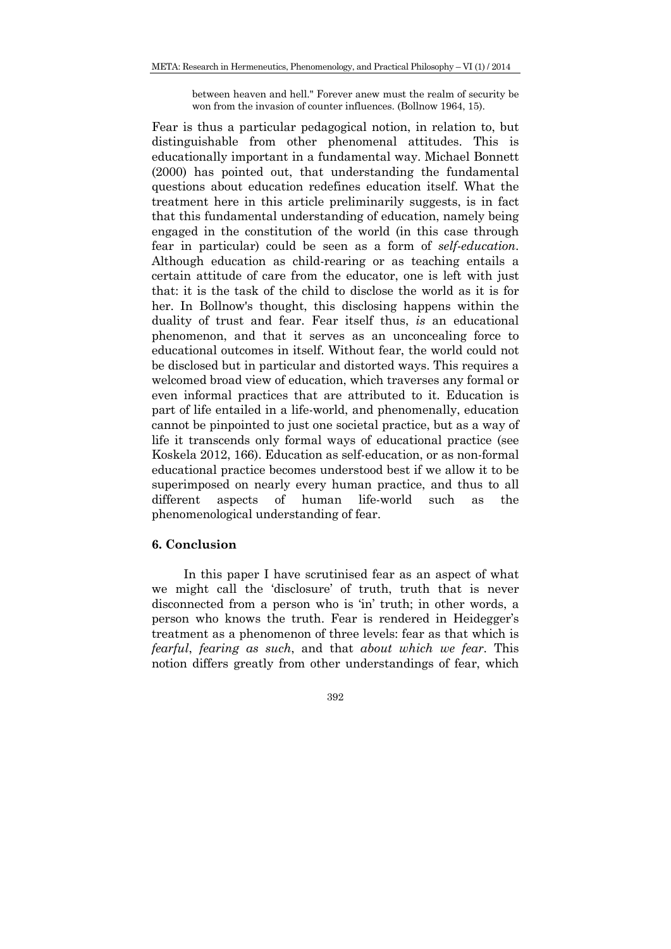between heaven and hell." Forever anew must the realm of security be won from the invasion of counter influences. (Bollnow 1964, 15).

Fear is thus a particular pedagogical notion, in relation to, but distinguishable from other phenomenal attitudes. This is educationally important in a fundamental way. Michael Bonnett (2000) has pointed out, that understanding the fundamental questions about education redefines education itself. What the treatment here in this article preliminarily suggests, is in fact that this fundamental understanding of education, namely being engaged in the constitution of the world (in this case through fear in particular) could be seen as a form of *self-education*. Although education as child-rearing or as teaching entails a certain attitude of care from the educator, one is left with just that: it is the task of the child to disclose the world as it is for her. In Bollnow's thought, this disclosing happens within the duality of trust and fear. Fear itself thus, *is* an educational phenomenon, and that it serves as an unconcealing force to educational outcomes in itself. Without fear, the world could not be disclosed but in particular and distorted ways. This requires a welcomed broad view of education, which traverses any formal or even informal practices that are attributed to it. Education is part of life entailed in a life-world, and phenomenally, education cannot be pinpointed to just one societal practice, but as a way of life it transcends only formal ways of educational practice (see Koskela 2012, 166). Education as self-education, or as non-formal educational practice becomes understood best if we allow it to be superimposed on nearly every human practice, and thus to all different aspects of human life-world such as the phenomenological understanding of fear.

### **6. Conclusion**

In this paper I have scrutinised fear as an aspect of what we might call the 'disclosure' of truth, truth that is never disconnected from a person who is 'in' truth; in other words, a person who knows the truth. Fear is rendered in Heidegger's treatment as a phenomenon of three levels: fear as that which is *fearful*, *fearing as such*, and that *about which we fear*. This notion differs greatly from other understandings of fear, which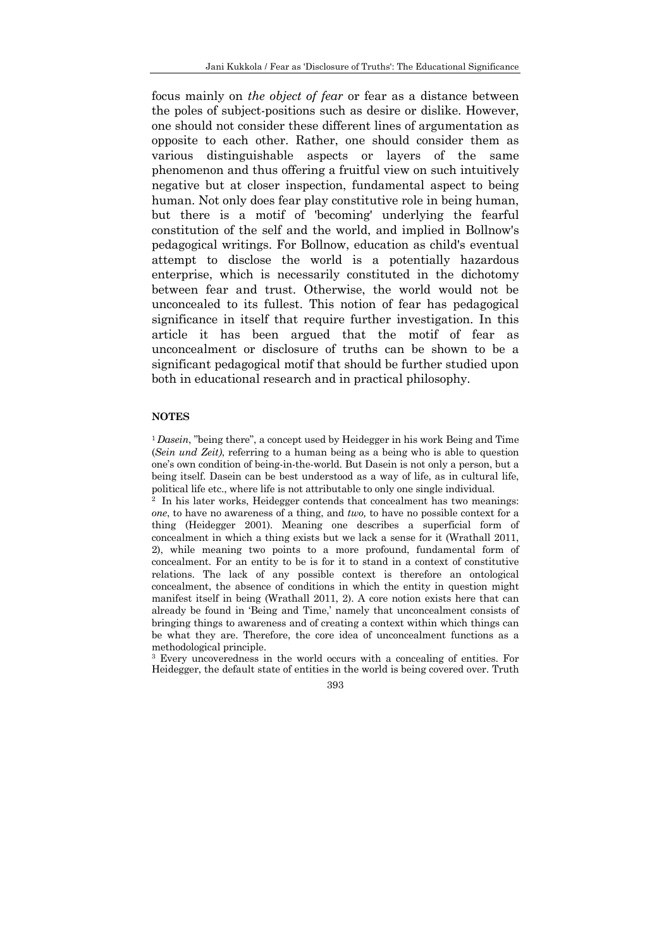focus mainly on *the object of fear* or fear as a distance between the poles of subject-positions such as desire or dislike. However, one should not consider these different lines of argumentation as opposite to each other. Rather, one should consider them as various distinguishable aspects or layers of the same phenomenon and thus offering a fruitful view on such intuitively negative but at closer inspection, fundamental aspect to being human. Not only does fear play constitutive role in being human, but there is a motif of 'becoming' underlying the fearful constitution of the self and the world, and implied in Bollnow's pedagogical writings. For Bollnow, education as child's eventual attempt to disclose the world is a potentially hazardous enterprise, which is necessarily constituted in the dichotomy between fear and trust. Otherwise, the world would not be unconcealed to its fullest. This notion of fear has pedagogical significance in itself that require further investigation. In this article it has been argued that the motif of fear as unconcealment or disclosure of truths can be shown to be a significant pedagogical motif that should be further studied upon both in educational research and in practical philosophy.

#### **NOTES**

<sup>1</sup> Dasein, "being there", a concept used by Heidegger in his work Being and Time (*Sein und Zeit)*, referring to a human being as a being who is able to question one's own condition of being-in-the-world. But Dasein is not only a person, but a being itself. Dasein can be best understood as a way of life, as in cultural life, political life etc., where life is not attributable to only one single individual.<br><sup>2</sup> In his later works, Heidegger contends that concealment has two meanings:

*one*, to have no awareness of a thing, and *two,* to have no possible context for a thing (Heidegger 2001). Meaning one describes a superficial form of concealment in which a thing exists but we lack a sense for it (Wrathall 2011, 2), while meaning two points to a more profound, fundamental form of concealment. For an entity to be is for it to stand in a context of constitutive relations. The lack of any possible context is therefore an ontological concealment, the absence of conditions in which the entity in question might manifest itself in being (Wrathall 2011, 2). A core notion exists here that can already be found in 'Being and Time,' namely that unconcealment consists of bringing things to awareness and of creating a context within which things can be what they are. Therefore, the core idea of unconcealment functions as a methodological principle.<br><sup>3</sup> Every uncoveredness in the world occurs with a concealing of entities. For

Heidegger, the default state of entities in the world is being covered over. Truth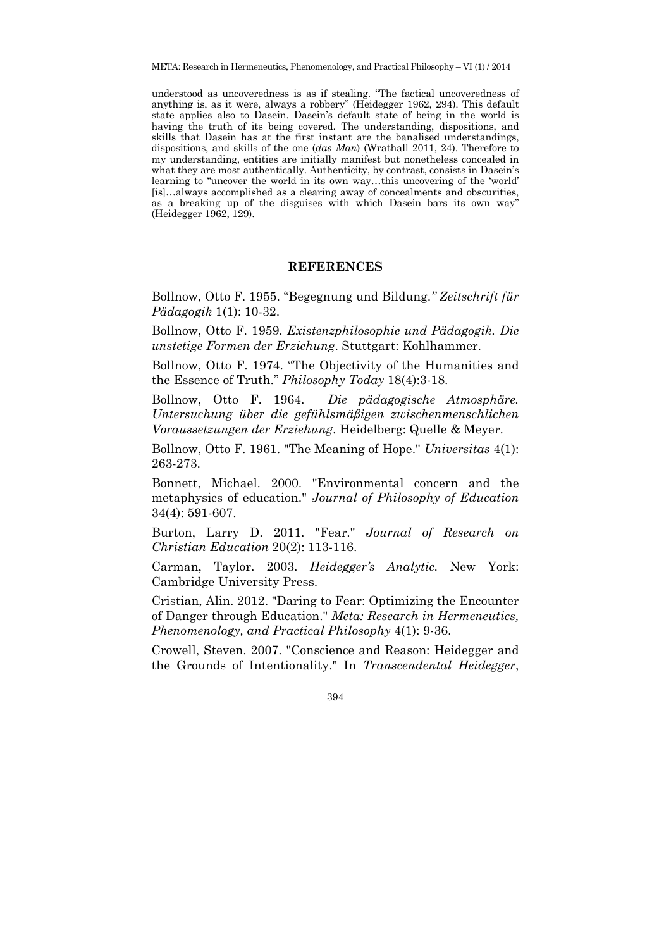understood as uncoveredness is as if stealing. "The factical uncoveredness of anything is, as it were, always a robbery" (Heidegger 1962, 294). This default state applies also to Dasein. Dasein's default state of being in the world is having the truth of its being covered. The understanding, dispositions, and skills that Dasein has at the first instant are the banalised understandings, dispositions, and skills of the one (*das Man*) (Wrathall 2011, 24). Therefore to my understanding, entities are initially manifest but nonetheless concealed in what they are most authentically. Authenticity, by contrast, consists in Dasein's learning to "uncover the world in its own way…this uncovering of the 'world' [is]…always accomplished as a clearing away of concealments and obscurities, as a breaking up of the disguises with which Dasein bars its own way" (Heidegger 1962, 129).

### **REFERENCES**

Bollnow, Otto F. 1955. "Begegnung und Bildung.*" Zeitschrift für Pädagogik* 1(1): 10-32.

Bollnow, Otto F. 1959. *Existenzphilosophie und Pädagogik. Die unstetige Formen der Erziehung*. Stuttgart: Kohlhammer.

Bollnow, Otto F. 1974. "The Objectivity of the Humanities and the Essence of Truth." *Philosophy Today* 18(4):3-18.

Bollnow, Otto F. 1964. *Die pädagogische Atmosphäre. Untersuchung über die gefühlsmäßigen zwischenmenschlichen Voraussetzungen der Erziehung*. Heidelberg: Quelle & Meyer.

Bollnow, Otto F. 1961. "The Meaning of Hope." *Universitas* 4(1): 263-273.

Bonnett, Michael. 2000. "Environmental concern and the metaphysics of education." *Journal of Philosophy of Education* 34(4): 591-607.

Burton, Larry D. 2011. "Fear." *Journal of Research on Christian Education* 20(2): 113-116.

Carman, Taylor. 2003. *Heidegger's Analytic.* New York: Cambridge University Press.

Cristian, Alin. 2012. "Daring to Fear: Optimizing the Encounter of Danger through Education." *Meta: Research in Hermeneutics, Phenomenology, and Practical Philosophy* 4(1): 9-36.

Crowell, Steven. 2007. "Conscience and Reason: Heidegger and the Grounds of Intentionality." In *Transcendental Heidegger*,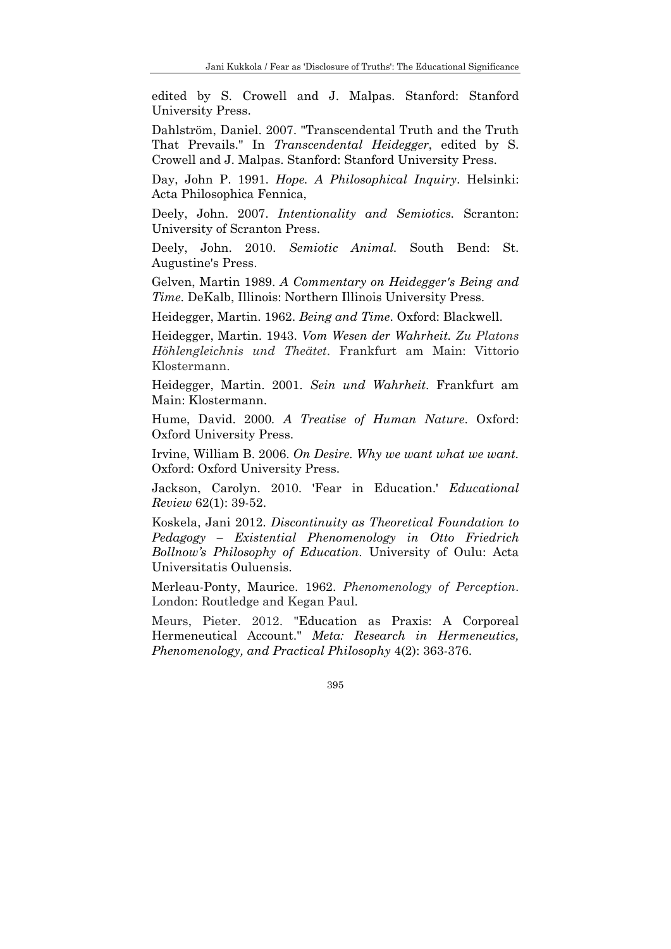edited by S. Crowell and J. Malpas. Stanford: Stanford University Press.

Dahlström, Daniel. 2007. "Transcendental Truth and the Truth That Prevails." In *Transcendental Heidegger*, edited by S. Crowell and J. Malpas. Stanford: Stanford University Press.

Day, John P. 1991. *Hope. A Philosophical Inquiry*. Helsinki: Acta Philosophica Fennica,

Deely, John. 2007. *Intentionality and Semiotics.* Scranton: University of Scranton Press.

Deely, John. 2010. *Semiotic Animal.* South Bend: St. Augustine's Press.

Gelven, Martin 1989. *A Commentary on Heidegger's Being and Time*. DeKalb, Illinois: Northern Illinois University Press.

Heidegger, Martin. 1962. *Being and Time*. Oxford: Blackwell.

Heidegger, Martin. 1943. *Vom Wesen der Wahrheit. Zu Platons Höhlengleichnis und Theätet*. Frankfurt am Main: Vittorio Klostermann.

Heidegger, Martin. 2001. *Sein und Wahrheit*. Frankfurt am Main: Klostermann.

Hume, David. 2000*. A Treatise of Human Nature*. Oxford: Oxford University Press.

Irvine, William B. 2006. *On Desire. Why we want what we want.* Oxford: Oxford University Press.

Jackson, Carolyn. 2010. 'Fear in Education.' *Educational Review* 62(1): 39-52.

Koskela, Jani 2012. *Discontinuity as Theoretical Foundation to Pedagogy – Existential Phenomenology in Otto Friedrich Bollnow's Philosophy of Education*. University of Oulu: Acta Universitatis Ouluensis.

Merleau-Ponty, Maurice. 1962. *Phenomenology of Perception*. London: Routledge and Kegan Paul.

Meurs, Pieter. 2012. "Education as Praxis: A Corporeal Hermeneutical Account." *Meta: Research in Hermeneutics, Phenomenology, and Practical Philosophy* 4(2): 363-376.